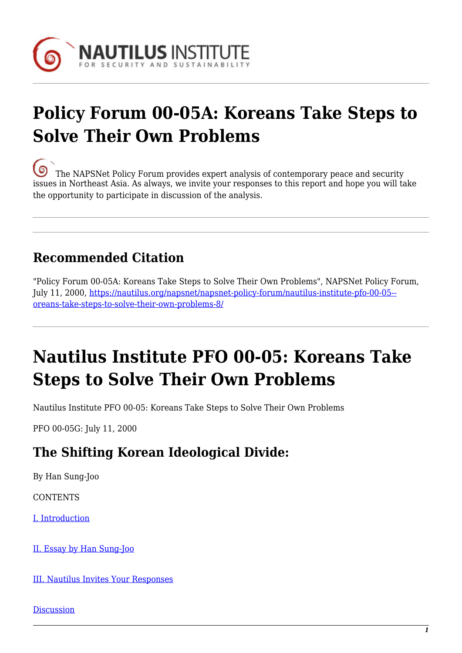

# **Policy Forum 00-05A: Koreans Take Steps to Solve Their Own Problems**

[T](https://nautilus.org/wp-content/uploads/2013/05/nautilus-logo-small.png)he NAPSNet Policy Forum provides expert analysis of contemporary peace and security issues in Northeast Asia. As always, we invite your responses to this report and hope you will take the opportunity to participate in discussion of the analysis.

# **Recommended Citation**

"Policy Forum 00-05A: Koreans Take Steps to Solve Their Own Problems", NAPSNet Policy Forum, July 11, 2000, [https://nautilus.org/napsnet/napsnet-policy-forum/nautilus-institute-pfo-00-05-](https://nautilus.org/napsnet/napsnet-policy-forum/nautilus-institute-pfo-00-05-koreans-take-steps-to-solve-their-own-problems-8/) [oreans-take-steps-to-solve-their-own-problems-8/](https://nautilus.org/napsnet/napsnet-policy-forum/nautilus-institute-pfo-00-05-koreans-take-steps-to-solve-their-own-problems-8/)

# **Nautilus Institute PFO 00-05: Koreans Take Steps to Solve Their Own Problems**

Nautilus Institute PFO 00-05: Koreans Take Steps to Solve Their Own Problems

PFO 00-05G: July 11, 2000

# **The Shifting Korean Ideological Divide:**

By Han Sung-Joo

**CONTENTS** 

[I. Introduction](#page-1-0)

[II. Essay by Han Sung-Joo](#page-1-1)

[III. Nautilus Invites Your Responses](#page-3-0)

**[Discussion](https://nautilus.org/publications/essays/napsnet/forum/policy-forum-archive/nautilus-institute-pfo-00-05-koreans-take-steps-to-solve-their-own-problems-10/)**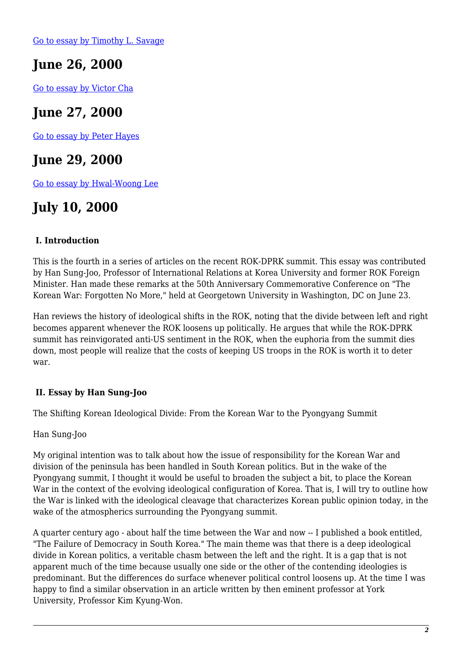[Go to essay by Timothy L. Savage](https://nautilus.org/publications/essays/napsnet/forum/policy-forum-archive/nautilus-institute-pfo-00-05-koreans-take-steps-to-solve-their-own-problems/)

# **June 26, 2000**

[Go to essay by Victor Cha](https://nautilus.org/publications/essays/napsnet/forum/policy-forum-archive/nautilus-institute-pfo-00-05-koreans-take-steps-to-solve-their-own-problems-2/)

## **June 27, 2000**

[Go to essay by Peter Hayes](https://nautilus.org/publications/essays/napsnet/forum/policy-forum-archive/nautilus-institute-pfo-00-05-koreans-take-steps-to-solve-their-own-problems-4/)

## **June 29, 2000**

[Go to essay by Hwal-Woong Lee](https://nautilus.org/publications/essays/napsnet/forum/policy-forum-archive/nautilus-institute-pfo-00-05-koreans-take-steps-to-solve-their-own-problems-7/)

# **July 10, 2000**

### <span id="page-1-0"></span> **I. Introduction**

This is the fourth in a series of articles on the recent ROK-DPRK summit. This essay was contributed by Han Sung-Joo, Professor of International Relations at Korea University and former ROK Foreign Minister. Han made these remarks at the 50th Anniversary Commemorative Conference on "The Korean War: Forgotten No More," held at Georgetown University in Washington, DC on June 23.

Han reviews the history of ideological shifts in the ROK, noting that the divide between left and right becomes apparent whenever the ROK loosens up politically. He argues that while the ROK-DPRK summit has reinvigorated anti-US sentiment in the ROK, when the euphoria from the summit dies down, most people will realize that the costs of keeping US troops in the ROK is worth it to deter war.

#### <span id="page-1-1"></span> **II. Essay by Han Sung-Joo**

The Shifting Korean Ideological Divide: From the Korean War to the Pyongyang Summit

Han Sung-Joo

My original intention was to talk about how the issue of responsibility for the Korean War and division of the peninsula has been handled in South Korean politics. But in the wake of the Pyongyang summit, I thought it would be useful to broaden the subject a bit, to place the Korean War in the context of the evolving ideological configuration of Korea. That is, I will try to outline how the War is linked with the ideological cleavage that characterizes Korean public opinion today, in the wake of the atmospherics surrounding the Pyongyang summit.

A quarter century ago - about half the time between the War and now -- I published a book entitled, "The Failure of Democracy in South Korea." The main theme was that there is a deep ideological divide in Korean politics, a veritable chasm between the left and the right. It is a gap that is not apparent much of the time because usually one side or the other of the contending ideologies is predominant. But the differences do surface whenever political control loosens up. At the time I was happy to find a similar observation in an article written by then eminent professor at York University, Professor Kim Kyung-Won.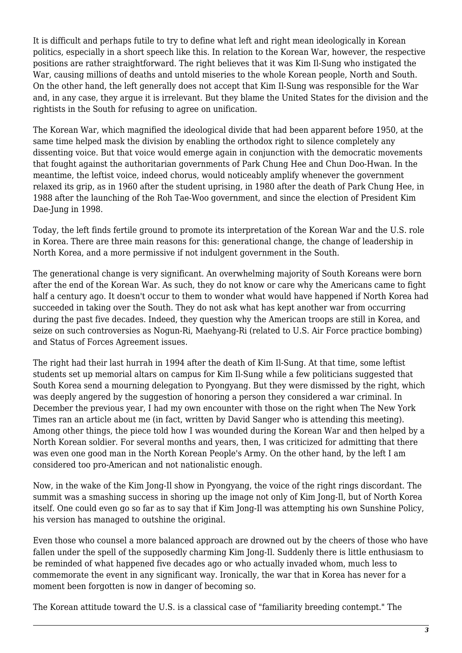It is difficult and perhaps futile to try to define what left and right mean ideologically in Korean politics, especially in a short speech like this. In relation to the Korean War, however, the respective positions are rather straightforward. The right believes that it was Kim Il-Sung who instigated the War, causing millions of deaths and untold miseries to the whole Korean people, North and South. On the other hand, the left generally does not accept that Kim Il-Sung was responsible for the War and, in any case, they argue it is irrelevant. But they blame the United States for the division and the rightists in the South for refusing to agree on unification.

The Korean War, which magnified the ideological divide that had been apparent before 1950, at the same time helped mask the division by enabling the orthodox right to silence completely any dissenting voice. But that voice would emerge again in conjunction with the democratic movements that fought against the authoritarian governments of Park Chung Hee and Chun Doo-Hwan. In the meantime, the leftist voice, indeed chorus, would noticeably amplify whenever the government relaxed its grip, as in 1960 after the student uprising, in 1980 after the death of Park Chung Hee, in 1988 after the launching of the Roh Tae-Woo government, and since the election of President Kim Dae-Jung in 1998.

Today, the left finds fertile ground to promote its interpretation of the Korean War and the U.S. role in Korea. There are three main reasons for this: generational change, the change of leadership in North Korea, and a more permissive if not indulgent government in the South.

The generational change is very significant. An overwhelming majority of South Koreans were born after the end of the Korean War. As such, they do not know or care why the Americans came to fight half a century ago. It doesn't occur to them to wonder what would have happened if North Korea had succeeded in taking over the South. They do not ask what has kept another war from occurring during the past five decades. Indeed, they question why the American troops are still in Korea, and seize on such controversies as Nogun-Ri, Maehyang-Ri (related to U.S. Air Force practice bombing) and Status of Forces Agreement issues.

The right had their last hurrah in 1994 after the death of Kim Il-Sung. At that time, some leftist students set up memorial altars on campus for Kim Il-Sung while a few politicians suggested that South Korea send a mourning delegation to Pyongyang. But they were dismissed by the right, which was deeply angered by the suggestion of honoring a person they considered a war criminal. In December the previous year, I had my own encounter with those on the right when The New York Times ran an article about me (in fact, written by David Sanger who is attending this meeting). Among other things, the piece told how I was wounded during the Korean War and then helped by a North Korean soldier. For several months and years, then, I was criticized for admitting that there was even one good man in the North Korean People's Army. On the other hand, by the left I am considered too pro-American and not nationalistic enough.

Now, in the wake of the Kim Jong-Il show in Pyongyang, the voice of the right rings discordant. The summit was a smashing success in shoring up the image not only of Kim Jong-Il, but of North Korea itself. One could even go so far as to say that if Kim Jong-Il was attempting his own Sunshine Policy, his version has managed to outshine the original.

Even those who counsel a more balanced approach are drowned out by the cheers of those who have fallen under the spell of the supposedly charming Kim Jong-Il. Suddenly there is little enthusiasm to be reminded of what happened five decades ago or who actually invaded whom, much less to commemorate the event in any significant way. Ironically, the war that in Korea has never for a moment been forgotten is now in danger of becoming so.

The Korean attitude toward the U.S. is a classical case of "familiarity breeding contempt." The